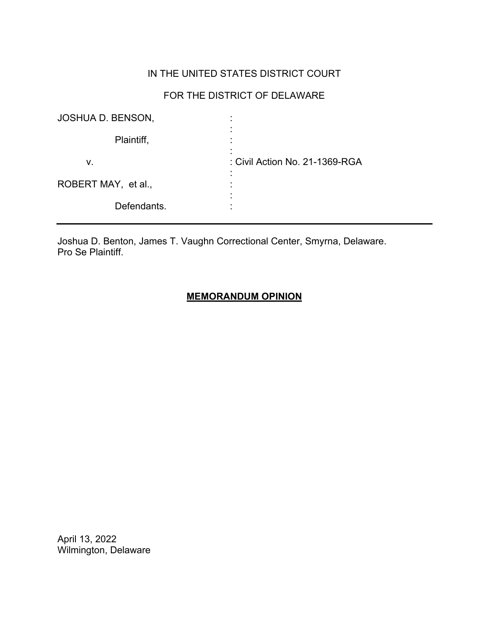## IN THE UNITED STATES DISTRICT COURT

# FOR THE DISTRICT OF DELAWARE

| <b>JOSHUA D. BENSON,</b> |                                |
|--------------------------|--------------------------------|
| Plaintiff,               |                                |
| v.                       | : Civil Action No. 21-1369-RGA |
| ROBERT MAY, et al.,      |                                |
| Defendants.              |                                |

Joshua D. Benton, James T. Vaughn Correctional Center, Smyrna, Delaware. Pro Se Plaintiff.

## **MEMORANDUM OPINION**

April 13, 2022 Wilmington, Delaware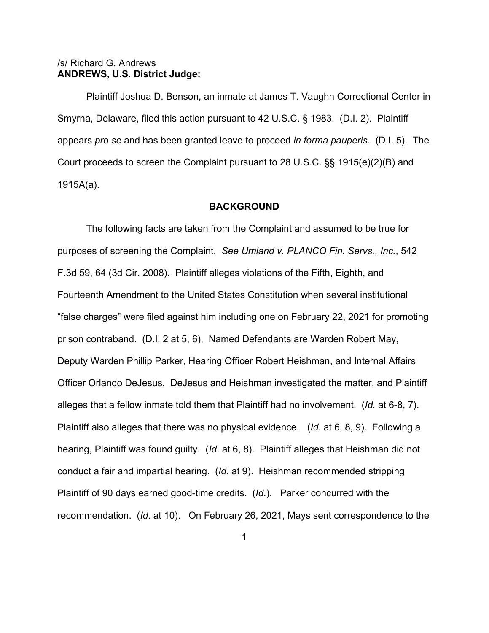### /s/ Richard G. Andrews **ANDREWS, U.S. District Judge:**

Plaintiff Joshua D. Benson, an inmate at James T. Vaughn Correctional Center in Smyrna, Delaware, filed this action pursuant to 42 U.S.C. § 1983. (D.I. 2). Plaintiff appears *pro se* and has been granted leave to proceed *in forma pauperis.* (D.I. 5). The Court proceeds to screen the Complaint pursuant to 28 U.S.C. §§ 1915(e)(2)(B) and 1915A(a).

#### **BACKGROUND**

The following facts are taken from the Complaint and assumed to be true for purposes of screening the Complaint. *See Umland v. PLANCO Fin. Servs., Inc.*, 542 F.3d 59, 64 (3d Cir. 2008). Plaintiff alleges violations of the Fifth, Eighth, and Fourteenth Amendment to the United States Constitution when several institutional "false charges" were filed against him including one on February 22, 2021 for promoting prison contraband. (D.I. 2 at 5, 6), Named Defendants are Warden Robert May, Deputy Warden Phillip Parker, Hearing Officer Robert Heishman, and Internal Affairs Officer Orlando DeJesus. DeJesus and Heishman investigated the matter, and Plaintiff alleges that a fellow inmate told them that Plaintiff had no involvement. (*Id.* at 6-8, 7). Plaintiff also alleges that there was no physical evidence. (*Id.* at 6, 8, 9). Following a hearing, Plaintiff was found guilty. (*Id*. at 6, 8). Plaintiff alleges that Heishman did not conduct a fair and impartial hearing. (*Id*. at 9). Heishman recommended stripping Plaintiff of 90 days earned good-time credits. (*Id*.). Parker concurred with the recommendation. (*Id*. at 10). On February 26, 2021, Mays sent correspondence to the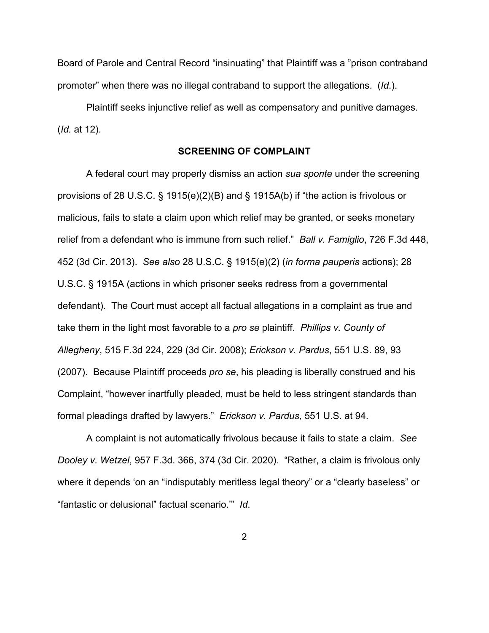Board of Parole and Central Record "insinuating" that Plaintiff was a "prison contraband promoter" when there was no illegal contraband to support the allegations. (*Id*.).

Plaintiff seeks injunctive relief as well as compensatory and punitive damages. (*Id.* at 12).

### **SCREENING OF COMPLAINT**

A federal court may properly dismiss an action *sua sponte* under the screening provisions of 28 U.S.C. § 1915(e)(2)(B) and § 1915A(b) if "the action is frivolous or malicious, fails to state a claim upon which relief may be granted, or seeks monetary relief from a defendant who is immune from such relief." *Ball v. Famiglio*, 726 F.3d 448, 452 (3d Cir. 2013). *See also* 28 U.S.C. § 1915(e)(2) (*in forma pauperis* actions); 28 U.S.C. § 1915A (actions in which prisoner seeks redress from a governmental defendant). The Court must accept all factual allegations in a complaint as true and take them in the light most favorable to a *pro se* plaintiff. *Phillips v. County of Allegheny*, 515 F.3d 224, 229 (3d Cir. 2008); *Erickson v. Pardus*, 551 U.S. 89, 93 (2007). Because Plaintiff proceeds *pro se*, his pleading is liberally construed and his Complaint, "however inartfully pleaded, must be held to less stringent standards than formal pleadings drafted by lawyers." *Erickson v. Pardus*, 551 U.S. at 94.

A complaint is not automatically frivolous because it fails to state a claim. *See Dooley v. Wetzel*, 957 F.3d. 366, 374 (3d Cir. 2020). "Rather, a claim is frivolous only where it depends 'on an "indisputably meritless legal theory" or a "clearly baseless" or "fantastic or delusional" factual scenario.'" *Id*.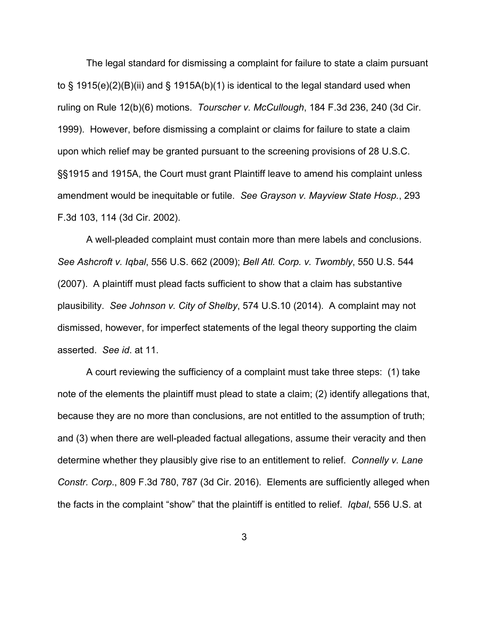The legal standard for dismissing a complaint for failure to state a claim pursuant to § 1915(e)(2)(B)(ii) and § 1915A(b)(1) is identical to the legal standard used when ruling on Rule 12(b)(6) motions. *Tourscher v. McCullough*, 184 F.3d 236, 240 (3d Cir. 1999). However, before dismissing a complaint or claims for failure to state a claim upon which relief may be granted pursuant to the screening provisions of 28 U.S.C. §§1915 and 1915A, the Court must grant Plaintiff leave to amend his complaint unless amendment would be inequitable or futile. *See Grayson v. Mayview State Hosp.*, 293 F.3d 103, 114 (3d Cir. 2002).

A well-pleaded complaint must contain more than mere labels and conclusions. *See Ashcroft v. Iqbal*, 556 U.S. 662 (2009); *Bell Atl. Corp. v. Twombly*, 550 U.S. 544 (2007). A plaintiff must plead facts sufficient to show that a claim has substantive plausibility. *See Johnson v. City of Shelby*, 574 U.S.10 (2014). A complaint may not dismissed, however, for imperfect statements of the legal theory supporting the claim asserted. *See id*. at 11.

A court reviewing the sufficiency of a complaint must take three steps: (1) take note of the elements the plaintiff must plead to state a claim; (2) identify allegations that, because they are no more than conclusions, are not entitled to the assumption of truth; and (3) when there are well-pleaded factual allegations, assume their veracity and then determine whether they plausibly give rise to an entitlement to relief. *Connelly v. Lane Constr. Corp*., 809 F.3d 780, 787 (3d Cir. 2016). Elements are sufficiently alleged when the facts in the complaint "show" that the plaintiff is entitled to relief. *Iqbal*, 556 U.S. at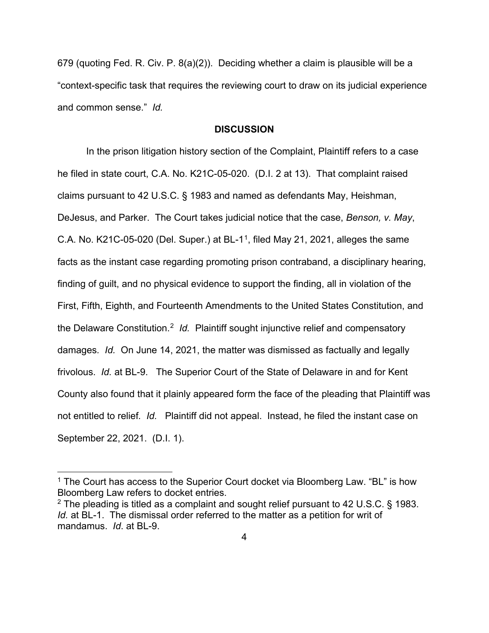679 (quoting Fed. R. Civ. P. 8(a)(2)). Deciding whether a claim is plausible will be a "context-specific task that requires the reviewing court to draw on its judicial experience and common sense." *Id.*

#### **DISCUSSION**

In the prison litigation history section of the Complaint, Plaintiff refers to a case he filed in state court, C.A. No. K21C-05-020. (D.I. 2 at 13). That complaint raised claims pursuant to 42 U.S.C. § 1983 and named as defendants May, Heishman, DeJesus, and Parker. The Court takes judicial notice that the case, *Benson, v. May*, C.A. No. K2[1](#page-4-0)C-05-020 (Del. Super.) at BL-1<sup>1</sup>, filed May 21, 2021, alleges the same facts as the instant case regarding promoting prison contraband, a disciplinary hearing, finding of guilt, and no physical evidence to support the finding, all in violation of the First, Fifth, Eighth, and Fourteenth Amendments to the United States Constitution, and the Delaware Constitution.[2](#page-4-1) *Id.* Plaintiff sought injunctive relief and compensatory damages*. Id.* On June 14, 2021, the matter was dismissed as factually and legally frivolous. *Id.* at BL-9. The Superior Court of the State of Delaware in and for Kent County also found that it plainly appeared form the face of the pleading that Plaintiff was not entitled to relief*. Id.* Plaintiff did not appeal. Instead, he filed the instant case on September 22, 2021. (D.I. 1).

<span id="page-4-0"></span> $1$  The Court has access to the Superior Court docket via Bloomberg Law. "BL" is how Bloomberg Law refers to docket entries.

<span id="page-4-1"></span> $2$  The pleading is titled as a complaint and sought relief pursuant to 42 U.S.C. § 1983. *Id.* at BL-1. The dismissal order referred to the matter as a petition for writ of mandamus. *Id*. at BL-9.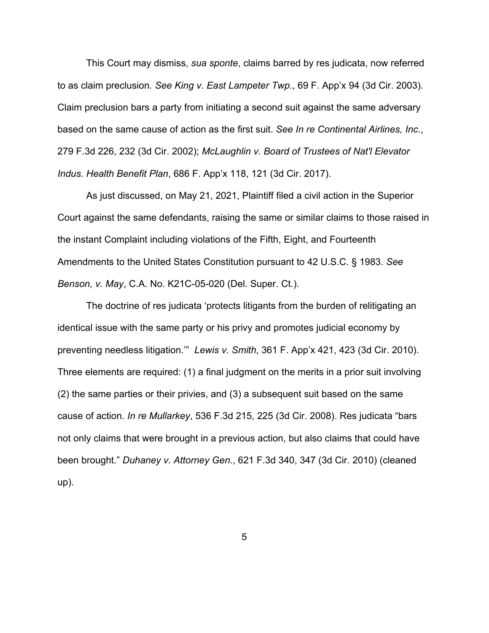This Court may dismiss, *sua sponte*, claims barred by res judicata, now referred to as claim preclusion*. See King v. East Lampeter Twp*., 69 F. App'x 94 (3d Cir. 2003). Claim preclusion bars a party from initiating a second suit against the same adversary based on the same cause of action as the first suit. *See In re Continental Airlines, Inc*., 279 F.3d 226, 232 (3d Cir. 2002); *McLaughlin v. Board of Trustees of Nat'l Elevator Indus. Health Benefit Plan*, 686 F. App'x 118, 121 (3d Cir. 2017).

As just discussed, on May 21, 2021, Plaintiff filed a civil action in the Superior Court against the same defendants, raising the same or similar claims to those raised in the instant Complaint including violations of the Fifth, Eight, and Fourteenth Amendments to the United States Constitution pursuant to 42 U.S.C. § 1983. *See Benson, v. May*, C.A. No. K21C-05-020 (Del. Super. Ct.).

The doctrine of res judicata 'protects litigants from the burden of relitigating an identical issue with the same party or his privy and promotes judicial economy by preventing needless litigation.'" *Lewis v. Smith*, 361 F. App'x 421, 423 (3d Cir. 2010). Three elements are required: (1) a final judgment on the merits in a prior suit involving (2) the same parties or their privies, and (3) a subsequent suit based on the same cause of action. *In re Mullarkey*, 536 F.3d 215, 225 (3d Cir. 2008). Res judicata "bars not only claims that were brought in a previous action, but also claims that could have been brought." *Duhaney v. Attorney Gen*., 621 F.3d 340, 347 (3d Cir. 2010) (cleaned up).

5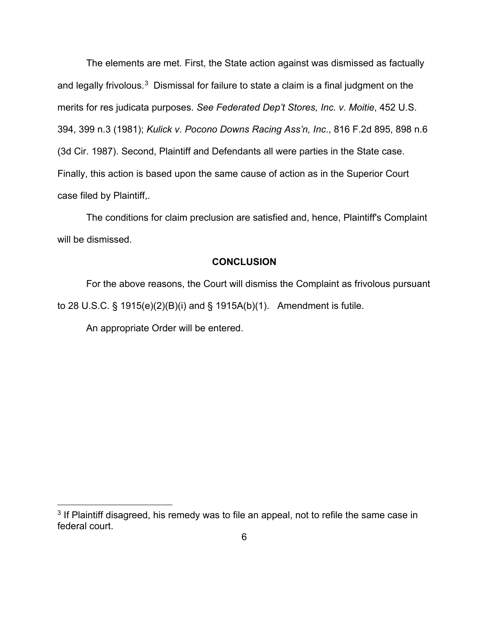The elements are met. First, the State action against was dismissed as factually and legally frivolous. $^3\,$  Dismissal for failure to state a claim is a final judgment on the merits for res judicata purposes. *See Federated Dep't Stores, Inc. v. Moitie*, 452 U.S. 394, 399 n.3 (1981); *Kulick v. Pocono Downs Racing Ass'n, Inc*., 816 F.2d 895, 898 n.6 (3d Cir. 1987). Second, Plaintiff and Defendants all were parties in the State case. Finally, this action is based upon the same cause of action as in the Superior Court case filed by Plaintiff,.

The conditions for claim preclusion are satisfied and, hence, Plaintiff's Complaint will be dismissed.

#### **CONCLUSION**

For the above reasons, the Court will dismiss the Complaint as frivolous pursuant to 28 U.S.C. § 1915(e)(2)(B)(i) and § 1915A(b)(1). Amendment is futile.

An appropriate Order will be entered.

<span id="page-6-0"></span><sup>&</sup>lt;sup>3</sup> If Plaintiff disagreed, his remedy was to file an appeal, not to refile the same case in federal court.